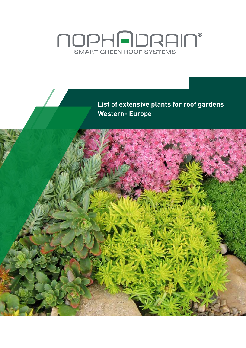# **NOPHADRAIN®**<br>SMART GREEN ROOF SYSTEMS

**List of extensive plants for roof gardens Western- Europe**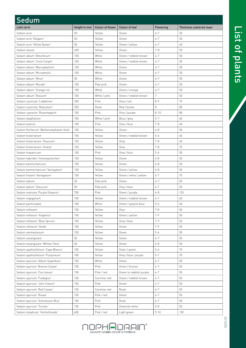| <b>Sedum</b>                            |              |                         |                         |           |                           |
|-----------------------------------------|--------------|-------------------------|-------------------------|-----------|---------------------------|
| Latin term                              | Height in mm | <b>Colour of flower</b> | <b>Colour of leaf</b>   | Flowering | Thickness substrate layer |
| Sedum acre                              | 50           | Yellow                  | Green                   | $6 - 7$   | 50                        |
| Sedum acre 'Elegans'                    | 50           | Yellow                  | Green                   | $6 - 7$   | 50                        |
| Sedum acre 'Yellow Queen'               | 50           | Yellow                  | Green / yellow          | $6 - 7$   | 60                        |
| Sedum aizoon                            | 400          | Yellow                  | Green                   | $7 - 8$   | 50                        |
| Sedum album 'Brevifolium'               | 150          | White                   | Green / reddish brown   | $6 - 7$   | 50                        |
| Sedum album 'Coral Carpet'              | 100          | White                   | Green / reddish brown   | $6 - 7$   | 50                        |
| Sedum album 'Macrophyllum'              | 150          | White                   | Green                   | $6 - 7$   | 50                        |
| Sedum album 'Microphylla'               | 100          | White                   | Green                   | $6 - 7$   | 50                        |
| Sedum album 'Minor'                     | 50           | White                   | Green                   | $6 - 7$   | 50                        |
| Sedum album 'Murale'                    | 100          | Pale pink               | Green                   | $6 - 7$   | 50                        |
| Sedum album 'Orange Ice'                | 100          | White                   | Green / orange          | $6 - 7$   | 50                        |
| Sedum album 'Roseum'                    | 100          | White / pink            | Green / reddish brown   | 7         | 50                        |
| Sedum cauticola 'Lidakense'             | 250          | Pink                    | Grey / red              | $8 - 9$   | 70                        |
| Sedum cauticola 'Robustum'              | 250          | Rood                    | Red / brown             | 8         | 80                        |
| Sedum cyaneum 'Rosenteppich'            | 100          | Pink                    | Grey / purple           | $8 - 10$  | 80                        |
| Sedum dsyphyllum                        | 100          | White / pink            | Blue / grey             | $5 - 7$   | 60                        |
| Sedum ewersii                           | 100          | Pink                    | Grey / blue             | $7 - 8$   | 60                        |
| Sedum floriferum 'Weihenstephaner Gold' | 100          | Yellow                  | Green                   | $6 - 8$   | 50                        |
| Sedum fosterianum                       | 150          | Yellow                  | Green / reddish brown   | $5 - 6$   | 60                        |
| Sedum fosterianum 'Glaucum'             | 150          | Yellow                  | Grey                    | $7 - 8$   | 60                        |
| Sedum fosterianum 'Oracle'              | 150          | Yellow                  | Grey                    | $7 - 8$   | 70                        |
| Sedum hispanicum                        | 100          | Pink                    | Grey / blue             | $5 - 6$   | 50                        |
| Sedum hybriden 'Immergrünchen'          | 150          | Yellow                  | Green                   | $6 - 8$   | 50                        |
| Sedum kamtschaticum                     | 150          | Yellow                  | Green                   | $6 - 8$   | 50                        |
| Sedum kamtschaticum 'Variegatum'        | 150          | Yellow                  | Green / yellow          | $6 - 8$   | 50                        |
| Sedum lineare 'Variegatum'              | 150          | Yellow                  | Green / white / yellow  | $6 - 7$   | 70                        |
| Sedum lydium                            | 50           | Pale pink               | Green                   | $6 - 7$   | 50                        |
| Sedum lydium 'Glaucum'                  | 50           | Pale pink               | Grey / blue             | $6 - 7$   | 50                        |
| Sedum matrona 'Purple Emperor'          | 700          | Pink                    | Green / purple          | $6 - 8$   | 120                       |
| Sedum orgeganum                         | 100          | Yellow                  | Green / reddish brown   | $6 - 7$   | 60                        |
| Sedum pachiclados                       | 100          | White                   | Green / greyish blue    | $5 - 6$   | 60                        |
| Sedum reflexum                          | 150          | Yellow                  | Grey                    | $7 - 8$   | 50                        |
| Sedum reflexum 'Angelina'               | 150          | Yellow                  | Green / yellow          | $7 - 9$   | 50                        |
| Sedum reflexum 'Blue Spruce'            | 150          | Yellow                  | Grey / blue             | $7 - 9$   | 50                        |
| Sedum reflexum 'Verde'                  | 150          | Yellow                  | Green                   | $7 - 9$   | 50                        |
| Sedum sarmentosum                       | 150          | Yellow                  | Green                   | $5 - 6$   | 50                        |
| Sedum sexangulare                       | 50           | Yellow                  | Green                   | $6 - 7$   | 50                        |
| Sedum sexangulare 'Whitee Tatra'        | 50           | Yellow                  | Green                   | $6 - 8$   | 50                        |
| Sedum spathulifolium 'Cape Blanco'      | 100          | Yellow                  | Silver / green          | $5 - 6$   | 70                        |
| Sedum spathulifolium 'Purpureum'        | 100          | Yellow                  | Grey / blue / purple    | $5 - 7$   | 70                        |
| Sedum spurium 'Album Superbum'          | 150          | White                   | Green                   | $6 - 7$   | 50                        |
| Sedum spurium 'Bronze Carpet'           | 150          | Pink                    | Green / bronze          | $6 - 7$   | 50                        |
| Sedum spurium 'Coccineum'               | 150          | Pink / red              | Green to reddish purple | $6 - 7$   | 50                        |
| Sedum spurium 'Fuldaglut'               | 150          | Carmine-red             | Green / reddish brown   | $6 - 7$   | 50                        |
| Sedum spurium 'John Creech'             | 150          | Pink                    | Green                   | $6 - 7$   | 50                        |
| Sedum spurium 'Red Carpet'              | 150          | Carmine-red             | Rood                    | $6 - 7$   | 50                        |
| Sedum spurium 'Rosea'                   | 150          | Pink / red              | Green                   | $6 - 7$   | 50                        |
| Sedum spurium 'Schorbuser Blut'         | 150          | Pink                    | Rood                    | $6 - 7$   | 50                        |
| Sedum spurium 'Tricolor'                | 150          | Pink                    | Greenish white          | $5 - 8$   | 50                        |
| Sedum telephium 'Herbstfreude'          | 600          | Pink / red              | Light green             | $9 - 10$  | 120                       |

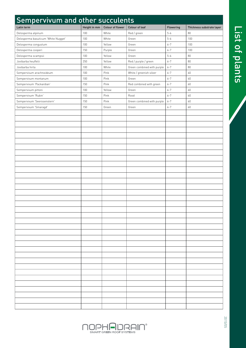| Sempervivum and other succulents    |              |                  |                            |           |                           |
|-------------------------------------|--------------|------------------|----------------------------|-----------|---------------------------|
| Latin term                          | Height in mm | Colour of flower | <b>Colour of leaf</b>      | Flowering | Thickness substrate layer |
| Delosperma alpinum                  | 100          | White            | Red / green                | $5 - 6$   | 80                        |
| Delosperma basuticum 'White Nugget' | 100          | White            | Green                      | $5 - 6$   | 100                       |
| Delosperma congustum                | 100          | Yellow           | Green                      | $6 - 7$   | 100                       |
| Delosperma cooperi                  | 150          | Purple           | Green                      | $6 - 7$   | 100                       |
| Delosperma scampsii                 | 100          | Yellow           | Green                      | $5 - 6$   | 80                        |
| Jovibarba heuffelii                 | 250          | Yellow           | Red / purple / green       | $6 - 7$   | 80                        |
| Jovibarba hirta                     | 100          | White            | Green combined with purple | $6 - 7$   | 80                        |
| Sempervivum arachnoideum            | 100          | Pink             | White / greenish silver    | $6 - 7$   | 60                        |
| Sempervivum montanum                | 100          | Pink             | Green                      | $6 - 7$   | 60                        |
| Sempervivum 'Packardian'            | 150          | Pink             | Red combined with green    | $6 - 7$   | 60                        |
| Sempervivum pittoni                 | 100          | Yellow           | Green                      | $6 - 7$   | 60                        |
| Sempervivum 'Rubin'                 | 150          | Pink             | Rood                       | $6 - 7$   | 60                        |
| Sempervivum 'Seerosenstern'         | 150          | Pink             | Green combined with purple | $6 - 7$   | 60                        |
| Sempervivum 'Smaragd'               | 150          | Green            | Green                      | $6 - 7$   | 60                        |
|                                     |              |                  |                            |           |                           |
|                                     |              |                  |                            |           |                           |
|                                     |              |                  |                            |           |                           |
|                                     |              |                  |                            |           |                           |
|                                     |              |                  |                            |           |                           |
|                                     |              |                  |                            |           |                           |
|                                     |              |                  |                            |           |                           |
|                                     |              |                  |                            |           |                           |
|                                     |              |                  |                            |           |                           |
|                                     |              |                  |                            |           |                           |
|                                     |              |                  |                            |           |                           |
|                                     |              |                  |                            |           |                           |
|                                     |              |                  |                            |           |                           |
|                                     |              |                  |                            |           |                           |
|                                     |              |                  |                            |           |                           |
|                                     |              |                  |                            |           |                           |
|                                     |              |                  |                            |           |                           |
|                                     |              |                  |                            |           |                           |
|                                     |              |                  |                            |           |                           |
|                                     |              |                  |                            |           |                           |
|                                     |              |                  |                            |           |                           |
|                                     |              |                  |                            |           |                           |
|                                     |              |                  |                            |           |                           |
|                                     |              |                  |                            |           |                           |
|                                     |              |                  |                            |           |                           |
|                                     |              |                  |                            |           |                           |
|                                     |              |                  |                            |           |                           |
|                                     |              |                  |                            |           |                           |
|                                     |              |                  |                            |           |                           |
|                                     |              |                  |                            |           |                           |
|                                     |              |                  |                            |           |                           |
|                                     |              |                  |                            |           |                           |
|                                     |              |                  |                            |           |                           |
|                                     |              |                  |                            |           |                           |
|                                     |              |                  |                            |           |                           |

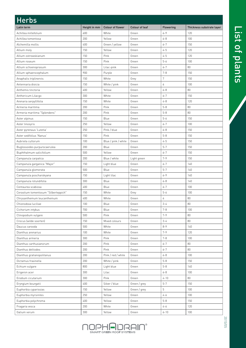| <b>Herbs</b>                         |              |                     |                       |                  |                           |
|--------------------------------------|--------------|---------------------|-----------------------|------------------|---------------------------|
| Latin term                           | Height in mm | Colour of flower    | <b>Colour of leaf</b> | Flowering        | Thickness substrate layer |
| Achillea millefolium                 | 600          | White               | Green                 | $6 - 9$          | 120                       |
| Achillea tomentosa                   | 200          | Yellow              | Green                 | $6 - 8$          | 100                       |
| Alchemilla mollis                    | 400          | Green / yellow      | Green                 | $6 - 7$          | 150                       |
| Allium moly                          | 150          | Yellow              | Green                 | $4 - 5$          | 120                       |
| Allium ostrowskianum                 | 150          | Pink                | Green                 | $4 - 5$          | 120                       |
| Allium roseum                        | 150          | Pink                | Green                 | $5 - 6$          | 100                       |
| Allium schoenoprasum                 | 300          | Lilac-pink          | Green                 | $6 - 7$          | 80                        |
| Allium sphaerocephalum               | 900          | Purple              | Green                 | $7 - 8$          | 150                       |
| Anaphalis triplinervis               | 150          | White               | Grey                  | $\boldsymbol{7}$ | 150                       |
| Antennaria dioicia                   | 150          | White / pink        | Green                 | 6                | 100                       |
| Anthemis tinctoria                   | 400          | Yellow              | Green                 | $6 - 8$          | 80                        |
| Anthericum Lilacgo                   | 300          | White               | Green                 | $6 - 7$          | 150                       |
| Arenaria serpyllifolia               | 150          | White               | Green                 | $4 - 8$          | 120                       |
| Armeria maritima                     | 200          | Pink                | Green                 | $5 - 8$          | 80                        |
| Armeria maritima "Splendens"         | 200          | Pink                | Green                 | $5 - 8$          | 80                        |
| Aster alpinus                        | 150          | Blue                | Green                 | $5 - 6$          | 150                       |
| Aster linosyris                      | 250          | Yellow              | Green                 | $6 - 7$          | 100                       |
| Aster pyrenaus 'Lutetia'             | 250          | Pink / blue         | Green                 | $6 - 8$          | 150                       |
| Aster sedifolius 'Nanus'             | 150          | Pink                | Green                 | $5 - 8$          | 150                       |
| Aubrieta cultorum                    | 100          | Blue / pink / white | Green                 | $4 - 5$          | 150                       |
| Buglossoides purpurocaerulea         | 200          | Blue                | Green                 | $5 - 7$          | 150                       |
| Buphthalmum salicifolium             | 500          | Yellow              | Green                 | $6 - 7$          | 150                       |
| Campanula carpatica                  | 200          | Blue / white        | Light green           | $7 - 9$          | 150                       |
| Campanula garganica "Major"          | 150          | Light blue          | Green                 | $6 - 7$          | 140                       |
| Campanula glomerata                  | 500          | Blue                | Green                 | $5 - 7$          | 140                       |
| Campanula poscharskyana              | 150          | Light lilac         | Green                 | $6 - 9$          | 140                       |
| Campanula rotundifolia               | 300          | Blue                | Green                 | $6 - 8$          | 140                       |
| Centaurea scabiosa                   | 400          | Blue                | Green                 | $6 - 7$          | 100                       |
| Cerastium tomentosum "Silberteppich" | 150          | White               | Grey                  | $5 - 6$          | 100                       |
| Chrysanthemum leucanthemum           | 400          | White               | Green                 | 6                | 80                        |
| Chionodoxa luciliae                  | 100          | Blue                | Green                 | $3 - 4$          | 80                        |
| Cichorium intybus                    | 700          | Blue                | Green                 | $7 - 8$          | 100                       |
| Clinopodium vulgare                  | 500          | Pink                | Green                 | $7 - 9$          | 80                        |
| Crocus (wilde soorten)               | 150          | Mixed colours       | Green                 | $3 - 4$          | 80                        |
| Daucus carooda                       | 500          | White               | Green                 | $8 - 9$          | 140                       |
| Dianthus arenarius                   | 100          | White               | Green                 | $7 - 9$          | 120                       |
| Dianthus armeria                     | 300          | Pink                | Green                 | $7 - 8$          | 100                       |
| Dianthus carthusianorum              | 200          | Pink                | Green                 | $6 - 7$          | 80                        |
| Dianthus deltiodes                   | 200          | Pink                | Green                 | $6 - 7$          | 80                        |
| Dianthus gratianopolitanus           | 200          | Pink / red / white  | Green                 | $6 - 8$          | 100                       |
| Dictamus fraxinella                  | 200          | White / pink        | Green                 | $5 - 8$          | 150                       |
| Echium vulgare                       | 800          | Light blue          | Green                 | $5 - 8$          | 140                       |
| Erigeron acer                        | 300          | Lilac               | Green                 | $6 - 8$          | 100                       |
| Erodium cicutarium                   | 300          | Pink                | Green                 | $4 - 10$         | 80                        |
| Eryngium bourgatii                   | 400          | Silver / blue       | Green / grey          | $5 - 7$          | 150                       |
| Euphorbia cyparissias                | 150          | Yellow              | Green / grey          | 5                | 100                       |
| Euphorbia myrsinites                 | 250          | Yellow              | Green                 | 4-6              | 100                       |
| Euphorbia polychroma                 | 400          | Yellow              | Green                 | $5 - 8$          | 150                       |
| Fragaria vesca                       | 200          | White               | Green                 | $4 - 6$          | 120                       |
| Galium verum                         | 300          | Yellow              | Green                 | $6 - 10$         | 100                       |



2015/05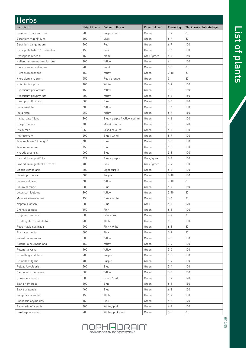| <b>Herbs</b>                     |              |                                |                |                  |                           |
|----------------------------------|--------------|--------------------------------|----------------|------------------|---------------------------|
| Latin term                       | Height in mm | Colour of flower               | Colour of leaf | Flowering        | Thickness substrate layer |
| Geranium macrorihzum             | 200          | Purplish red                   | Green          | $5 - 7$          | 80                        |
| Geranium magnificum              | 500          | Lilac                          | Green          | $6 - 7$          | 80                        |
| Geranium sanguineum              | 200          | Red                            | Green          | $6 - 7$          | 100                       |
| Gypsophila hybr. 'Rosenschleier' | 150          | Pink                           | Green          | $5 - 6$          | 150                       |
| Gypsophila repens                | 150          | White                          | Grey / green   | $6 - 7$          | 150                       |
| Helianthemum nummularium         | 200          | Yellow                         | Green          | $\boldsymbol{6}$ | 150                       |
| Hieracium aurantiacum            | 200          | Rood                           | Green          | $6 - 8$          | 80                        |
| Hieracium pilosella              | 150          | Yellow                         | Green          | $7 - 10$         | 80                        |
| Hieracium x rubrum               | 250          | Red / orange                   | Green          | 5                | 80                        |
| Hutchinsia alpina                | 100          | White                          | Green          | $5 - 7$          | 100                       |
| Hypericum perforatum             | 150          | Yellow                         | Green          | $5 - 8$          | 150                       |
| Hypericum polyphyllum            | 300          | Yellow                         | Green          | $6 - 8$          | 150                       |
| Hyssopus officinalis             | 300          | Blue                           | Green          | $6 - 8$          | 120                       |
| Inula ensifolia                  | 600          | Yellow                         | Green          | $5 - 6$          | 150                       |
| Inula hirta                      | 250          | Yellow                         | Green          | $6 - 9$          | 150                       |
| Iris barbata 'Nana'              | 300          | Blue / purple / yellow / white | Green          | $4 - 6$          | 100                       |
| Iris germanica                   | 400          | Mixed colours                  | Green          | $7 - 8$          | 120                       |
| Iris pumila                      | 250          | Mixed colours                  | Green          | $6 - 7$          | 100                       |
| Iris tectorum                    | 500          | Blue / white                   | Green          | $8 - 9$          | 100                       |
| Jasione laevis 'Bluelight'       | 400          | Blue                           | Green          | $6 - 8$          | 150                       |
| Jasione montana                  | 450          | Blue                           | Green          | $6 - 8$          | 100                       |
| Knautia arvensis                 | 500          | Blue                           | Green          | $5 - 8$          | 120                       |
| Lavandula augustifolia           | 399          | Blue / purple                  | Grey / green   | $7 - 8$          | 100                       |
| Lavandula augustifolia 'Rosea'   | 400          | Pink                           | Grey / green   | $7 - 9$          | 100                       |
| Linaria cymbalaria               | 600          | Light purple                   | Green          | $6 - 9$          | 100                       |
| Linaria purpurea                 | 600          | Purple                         | Green          | $7 - 10$         | 150                       |
| Linaria vulgaris                 | 600          | Yellow                         | Green          | $7 - 10$         | 80                        |
| Linum perenne                    | 300          | Blue                           | Green          | $6 - 7$          | 150                       |
| Lotus corniculatus               | 300          | Yellow                         | Green          | $5 - 10$         | 80                        |
| Muscari armeniacum               | 150          | Blue / white                   | Green          | $3 - 6$          | 80                        |
| Nepeta x fassenii                | 300          | Blue                           | Grey           | $6 - 7$          | 120                       |
| Ononsis spinosa                  | 150          | Pink                           | Green          | $6 - 8$          | 120                       |
| Origanum vulgare                 | 500          | Lilac-pink                     | Green          | $7 - 9$          | 80                        |
| Ornithogalum umbellatum          | 200          | White                          | Green          | $4 - 5$          | 100                       |
| Petrorhagia saxifraga            | 200          | Pink / white                   | Green          | $6 - 8$          | 80                        |
| Plantago media                   | 400          | Pink                           | Green          | $5 - 7$          | 80                        |
| Potentilla argentea              | 300          | Yellow                         | Green          | $7 - 8$          | 100                       |
| Potentilla neumanniana           | 150          | Yellow                         | Green          | $3 - 4$          | 100                       |
| Potentilla verna                 | 100          | Yellow                         | Green          | $3 - 5$          | 100                       |
| Prunella grandiflora             | 200          | Purple                         | Green          | $6 - 8$          | 100                       |
| Prunella vulgaris                | 400          | Purple                         | Green          | $5 - 9$          | 100                       |
| Pulsatilla vulgaris              | 200          | Blue                           | Green          | $3 - 4$          | 100                       |
| Ranunculus bulbosus              | 300          | Yellow                         | Green          | $6 - 8$          | 100                       |
| Rumex acetosella                 | 300          | Green / red                    | Green          | $5 - 7$          | 120                       |
| Salvia nemorosa                  | 600          | Blue                           | Green          | $6 - 8$          | 150                       |
| Salvia pratensis                 | 400          | Blue                           | Green          | $6 - 8$          | 150                       |
| Sanguisorba minor                | 150          | White                          | Green          | $6 - 7$          | 100                       |
| Saponaria ocymoides              | 150          | Pink                           | Green          | $5 - 8$          | 120                       |
| Saponaria officinalis            | 800          | White / pink                   | Green          | $6 - 9$          | 100                       |
| Saxifraga arendsii               | $200\,$      | White / pink / red             | Green          | $4 - 5$          | 80                        |

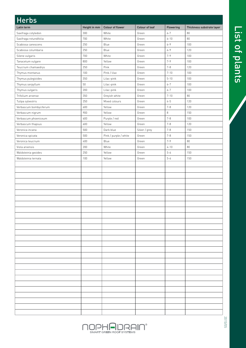| <b>Herbs</b>           |              |                       |                |           |                           |
|------------------------|--------------|-----------------------|----------------|-----------|---------------------------|
| Latin term             | Height in mm | Colour of flower      | Colour of leaf | Flowering | Thickness substrate layer |
| Saxifraga cotyledon    | 300          | White                 | Green          | $6 - 7$   | 80                        |
| Saxifraga rotundifolia | 700          | White                 | Green          | $6 - 10$  | 80                        |
| Scabiosa canescens     | 250          | Blue                  | Green          | $6 - 9$   | 100                       |
| Scabiosa columbaria    | 250          | Blue                  | Green          | $6 - 9$   | 120                       |
| Silene vulgaris        | 700          | White                 | Green          | $7 - 9$   | 100                       |
| Tanacetum vulgare      | 800          | Yellow                | Green          | $7 - 9$   | 100                       |
| Teucrium chamaedrys    | 250          | Pink                  | Green          | $7 - 8$   | 120                       |
| Thymus montanus        | 100          | Pink / lilac          | Green          | $7 - 10$  | 100                       |
| Thymus pulegioides     | 350          | Lilac-pink            | Green          | $5 - 10$  | 100                       |
| Thymus serpyllum       | 50           | Lilac-pink            | Green          | $6 - 7$   | 100                       |
| Thymus vulgaris        | 200          | Lilac-pink            | Green          | $6 - 7$   | 100                       |
| Trifolium arvense      | 350          | Greyish white         | Green          | $7 - 10$  | $80\,$                    |
| Tulipa sylvestris      | 250          | Mixed colours         | Green          | $4 - 5$   | 120                       |
| Verbascum bombyciferum | 600          | Yellow                | Green          | $7 - 8$   | 120                       |
| Verbascum nigrum       | 900          | Yellow                | Green          | 8         | 150                       |
| Verbascum phoeniceum   | 600          | Purple / red          | Green          | $7 - 8$   | 100                       |
| Verbascum thapsus      | 600          | Yellow                | Green          | $7 - 8$   | 120                       |
| Veronica incana        | 500          | Dark blue             | Silver / grey  | $7 - 8$   | 150                       |
| Veronica spicata       | 500          | Pink / purple / white | Green          | $7 - 8$   | 150                       |
| Veronica teucrium      | 400          | Blue                  | Green          | $7 - 9$   | 80                        |
| Viola arvensis         | 200          | White                 | Green          | $4 - 10$  | 80                        |
| Waldsteinia geoides    | 250          | Yellow                | Green          | $5 - 6$   | 150                       |
| Waldsteinia ternata    | 100          | Yellow                | Green          | $5 - 6$   | 150                       |
|                        |              |                       |                |           |                           |
|                        |              |                       |                |           |                           |
|                        |              |                       |                |           |                           |
|                        |              |                       |                |           |                           |
|                        |              |                       |                |           |                           |
|                        |              |                       |                |           |                           |
|                        |              |                       |                |           |                           |
|                        |              |                       |                |           |                           |
|                        |              |                       |                |           |                           |
|                        |              |                       |                |           |                           |
|                        |              |                       |                |           |                           |
|                        |              |                       |                |           |                           |
|                        |              |                       |                |           |                           |
|                        |              |                       |                |           |                           |
|                        |              |                       |                |           |                           |
|                        |              |                       |                |           |                           |
|                        |              |                       |                |           |                           |
|                        |              |                       |                |           |                           |
|                        |              |                       |                |           |                           |
|                        |              |                       |                |           |                           |
|                        |              |                       |                |           |                           |
|                        |              |                       |                |           |                           |
|                        |              |                       |                |           |                           |
|                        |              |                       |                |           |                           |
|                        |              |                       |                |           |                           |
|                        |              |                       |                |           |                           |
|                        |              |                       |                |           |                           |

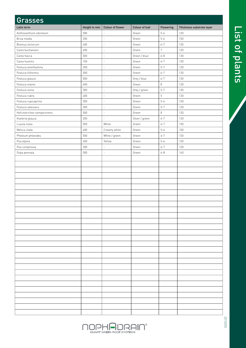| Grasses                     |              |                          |                |                  |                           |
|-----------------------------|--------------|--------------------------|----------------|------------------|---------------------------|
| Latin term                  | Height in mm | Colour of flower         | Colour of leaf | Flowering        | Thickness substrate layer |
| Anthoxanthum odoratum       | 500          | $\overline{a}$           | Green          | $5 - 6$          | 120                       |
| Briza media                 | 250          | $\overline{\phantom{a}}$ | Green          | $5 - 6$          | 150                       |
| Bromus tectorum             | 400          | $\overline{\phantom{a}}$ | Green          | $6 - 7$          | 120                       |
| Carex buchananii            | 400          | $\overline{\phantom{a}}$ | Green          | $\boldsymbol{7}$ | 120                       |
| Carex flacca                | 300          | $\bar{z}$                | Green / blue   | $6 - 8$          | 120                       |
| Carex humilis               | 150          | $\overline{\phantom{a}}$ | Green          | $6 - 7$          | 120                       |
| Festuca amethystina         | 200          | $\overline{\phantom{a}}$ | Green          | $5 - 7$          | 120                       |
| Festuca filiformis          | 500          | $\overline{\phantom{a}}$ | Green          | $6 - 7$          | 120                       |
| Festuca glauca              | 500          | $\overline{\phantom{a}}$ | Grey / blue    | $6 - 7$          | 120                       |
| Festuca mairei              | 600          | $\overline{\phantom{a}}$ | Green          | $\,8\,$          | 120                       |
| Festuca ovina               | 300          | $\overline{\phantom{a}}$ | Grey / green   | $5 - 7$          | 120                       |
| Festuca rubra               | 400          | $\overline{\phantom{a}}$ | Green          | $\,$ 5 $\,$      | 120                       |
| Festuca rupicaprina         | 200          | $\overline{\phantom{a}}$ | Green          | $5 - 6$          | 120                       |
| Festuca valesiaca           | 200          | ä,                       | Green          | $5 - 7$          | 120                       |
| Helictotrichon sempervirens | 500          | $\overline{\phantom{a}}$ | Green          | $\,8\,$          | 120                       |
| Koeleria glauca             | 250          | $\mathcal{L}$            | Silver / green | $6 - 7$          | 120                       |
| Luzula nivea                | 500          | White                    | Green          | $6 - 7$          | 150                       |
| Melica cilata               | 400          | Creamy white             | Green          | $5 - 6$          | 150                       |
| Pheleum phleoides           | 500          | White / green            | Green          | $6 - 7$          | 120                       |
| Poa alpina                  | 400          | Yellow                   | Green          | $5 - 6$          | 120                       |
| Poa compressa               | 200          | $\overline{\phantom{a}}$ | Green          | $6 - 7$          | 120                       |
| Stipa pennata               | 500          | $\overline{\phantom{a}}$ | Green          | $6 - 8$          | 140                       |
|                             |              |                          |                |                  |                           |
|                             |              |                          |                |                  |                           |
|                             |              |                          |                |                  |                           |
|                             |              |                          |                |                  |                           |
|                             |              |                          |                |                  |                           |
|                             |              |                          |                |                  |                           |
|                             |              |                          |                |                  |                           |
|                             |              |                          |                |                  |                           |
|                             |              |                          |                |                  |                           |
|                             |              |                          |                |                  |                           |
|                             |              |                          |                |                  |                           |
|                             |              |                          |                |                  |                           |
|                             |              |                          |                |                  |                           |
|                             |              |                          |                |                  |                           |
|                             |              |                          |                |                  |                           |
|                             |              |                          |                |                  |                           |
|                             |              |                          |                |                  |                           |
|                             |              |                          |                |                  |                           |
|                             |              |                          |                |                  |                           |
|                             |              |                          |                |                  |                           |
|                             |              |                          |                |                  |                           |
|                             |              |                          |                |                  |                           |
|                             |              |                          |                |                  |                           |
|                             |              |                          |                |                  |                           |
|                             |              |                          |                |                  |                           |
|                             |              |                          |                |                  |                           |
|                             |              |                          |                |                  |                           |
|                             |              |                          |                |                  |                           |



List of plants List of plants

2015/05